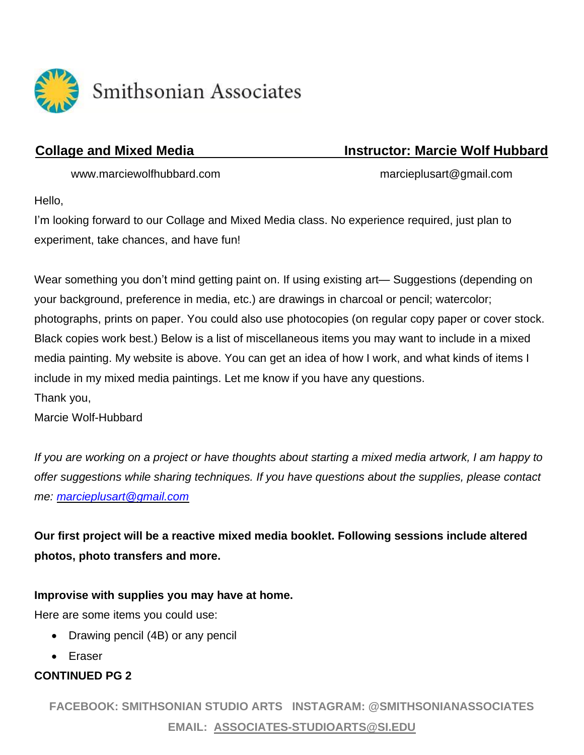

Smithsonian Associates

# **Collage and Mixed Media Instructor: Marcie Wolf Hubbard**

www.marciewolfhubbard.com marcieplusart@gmail.com

Hello,

I'm looking forward to our Collage and Mixed Media class. No experience required, just plan to experiment, take chances, and have fun!

Wear something you don't mind getting paint on. If using existing art— Suggestions (depending on your background, preference in media, etc.) are drawings in charcoal or pencil; watercolor; photographs, prints on paper. You could also use photocopies (on regular copy paper or cover stock. Black copies work best.) Below is a list of miscellaneous items you may want to include in a mixed media painting. My website is above. You can get an idea of how I work, and what kinds of items I include in my mixed media paintings. Let me know if you have any questions. Thank you,

Marcie Wolf-Hubbard

If you are working on a project or have thoughts about starting a mixed media artwork, I am happy to *offer suggestions while sharing techniques. If you have questions about the supplies, please contact me: [marcieplusart@gmail.com](mailto:marcieplusart@gmail.com)*

**Our first project will be a reactive mixed media booklet. Following sessions include altered photos, photo transfers and more.**

## **Improvise with supplies you may have at home.**

Here are some items you could use:

- Drawing pencil (4B) or any pencil
- Eraser

# **CONTINUED PG 2**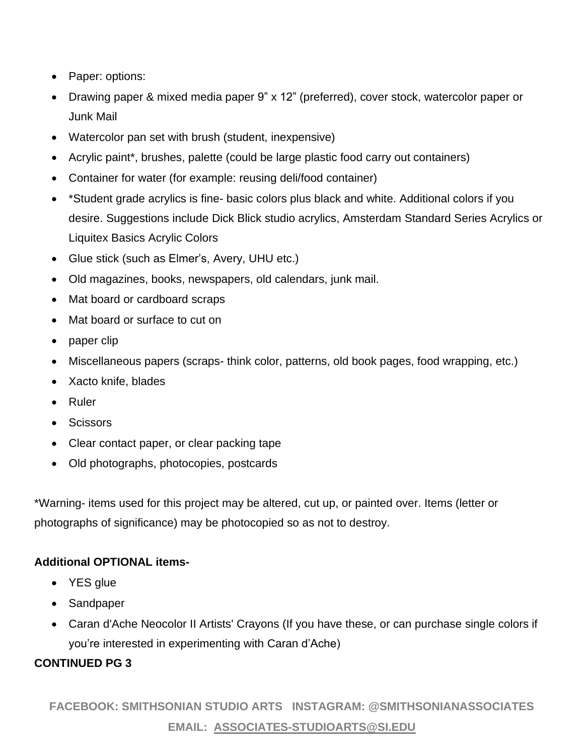- Paper: options:
- Drawing paper & mixed media paper 9" x 12" (preferred), cover stock, watercolor paper or Junk Mail
- Watercolor pan set with brush (student, inexpensive)
- Acrylic paint\*, brushes, palette (could be large plastic food carry out containers)
- Container for water (for example: reusing deli/food container)
- \*Student grade acrylics is fine- basic colors plus black and white. Additional colors if you desire. Suggestions include Dick Blick studio acrylics, Amsterdam Standard Series Acrylics or Liquitex Basics Acrylic Colors
- Glue stick (such as Elmer's, Avery, UHU etc.)
- Old magazines, books, newspapers, old calendars, junk mail.
- Mat board or cardboard scraps
- Mat board or surface to cut on
- paper clip
- Miscellaneous papers (scraps-think color, patterns, old book pages, food wrapping, etc.)
- Xacto knife, blades
- Ruler
- Scissors
- Clear contact paper, or clear packing tape
- Old photographs, photocopies, postcards

\*Warning- items used for this project may be altered, cut up, or painted over. Items (letter or photographs of significance) may be photocopied so as not to destroy.

### **Additional OPTIONAL items-**

- YES glue
- Sandpaper
- Caran d'Ache Neocolor II Artists' Crayons (If you have these, or can purchase single colors if you're interested in experimenting with Caran d'Ache)

### **CONTINUED PG 3**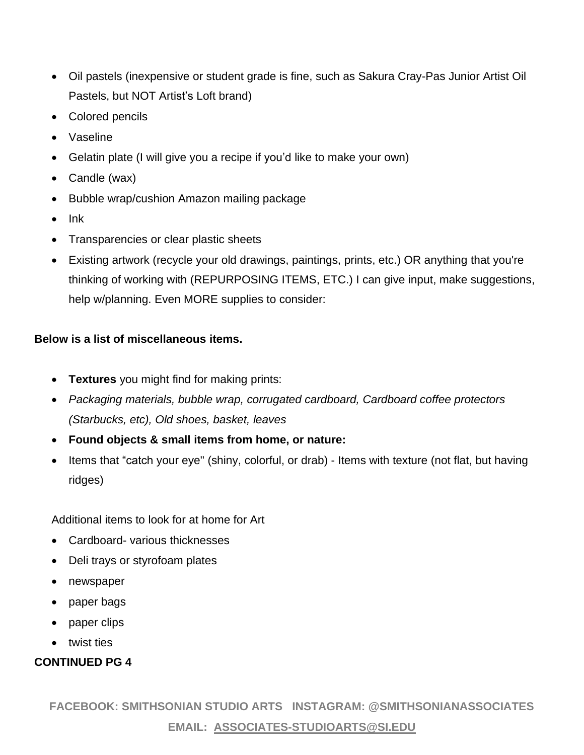- Oil pastels (inexpensive or student grade is fine, such as Sakura Cray-Pas Junior Artist Oil Pastels, but NOT Artist's Loft brand)
- Colored pencils
- Vaseline
- Gelatin plate (I will give you a recipe if you'd like to make your own)
- Candle (wax)
- Bubble wrap/cushion Amazon mailing package
- Ink
- Transparencies or clear plastic sheets
- Existing artwork (recycle your old drawings, paintings, prints, etc.) OR anything that you're thinking of working with (REPURPOSING ITEMS, ETC.) I can give input, make suggestions, help w/planning. Even MORE supplies to consider:

#### **Below is a list of miscellaneous items.**

- **Textures** you might find for making prints:
- *Packaging materials, bubble wrap, corrugated cardboard, Cardboard coffee protectors (Starbucks, etc), Old shoes, basket, leaves*
- **Found objects & small items from home, or nature:**
- Items that "catch your eye" (shiny, colorful, or drab) Items with texture (not flat, but having ridges)

Additional items to look for at home for Art

- Cardboard- various thicknesses
- Deli trays or styrofoam plates
- newspaper
- paper bags
- paper clips
- twist ties

### **CONTINUED PG 4**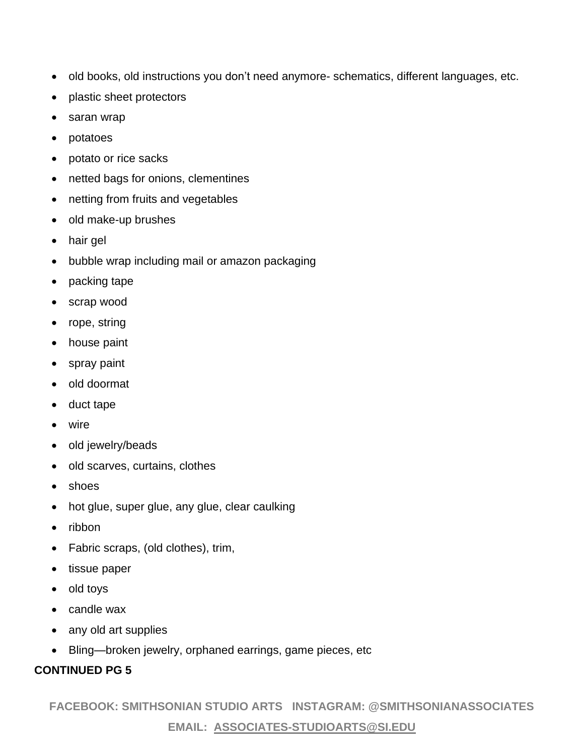- old books, old instructions you don't need anymore- schematics, different languages, etc.
- plastic sheet protectors
- saran wrap
- potatoes
- potato or rice sacks
- netted bags for onions, clementines
- netting from fruits and vegetables
- old make-up brushes
- hair gel
- bubble wrap including mail or amazon packaging
- packing tape
- scrap wood
- rope, string
- house paint
- spray paint
- old doormat
- duct tape
- wire
- old jewelry/beads
- old scarves, curtains, clothes
- shoes
- hot glue, super glue, any glue, clear caulking
- ribbon
- Fabric scraps, (old clothes), trim,
- tissue paper
- old toys
- candle wax
- any old art supplies
- Bling—broken jewelry, orphaned earrings, game pieces, etc

### **CONTINUED PG 5**

**FACEBOOK: SMITHSONIAN STUDIO ARTS INSTAGRAM: @SMITHSONIANASSOCIATES**

## **EMAIL: ASSOCIATES-STUDIOARTS@SI.EDU**